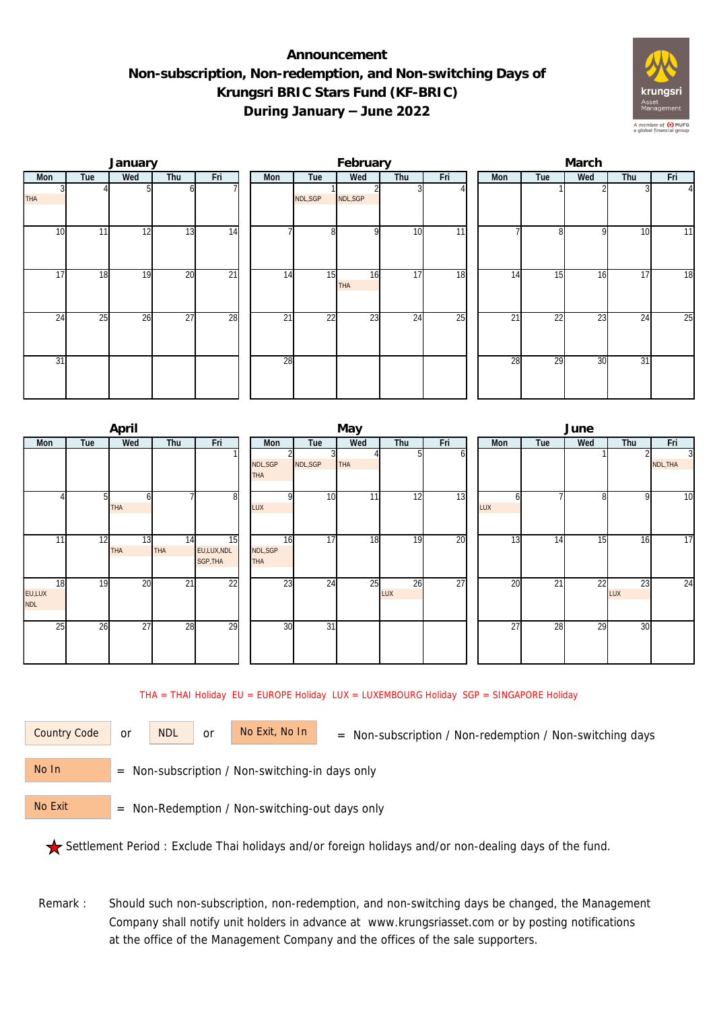## **Announcement Non-subscription, Non-redemption, and Non-switching Days of Krungsri BRIC Stars Fund (KF-BRIC) During January – June 2022**



|                 |     | January |     |                 |  |     | February |                  |     | March |     |              |     |                 |                |  |
|-----------------|-----|---------|-----|-----------------|--|-----|----------|------------------|-----|-------|-----|--------------|-----|-----------------|----------------|--|
| Mon             | Tue | Wed     | Thu | Fri             |  | Mon | Tue      | Wed              | Thu | Fri   | Mon | Tue          | Wed | Thu             | Fri            |  |
| <b>THA</b>      |     |         | ΩI  |                 |  |     | NDL,SGP  | NDL, SGP         |     |       |     |              |     |                 | $\overline{4}$ |  |
| 10              | 11  | 12      | 13  | 14              |  |     | 8        | $\Omega$         | 10  | 11    |     | $\mathbf{8}$ | 9   | 10              | 11             |  |
| 17              | 18  | 19      | 20  | $\overline{21}$ |  | 14  | 15       | 16<br><b>THA</b> | 17  | 18    | 14  | 15           | 16  | 17              | 18             |  |
| 24              | 25  | 26      | 27  | 28              |  | 21  | 22       | 23               | 24  | 25    | 21  | 22           | 23  | $2\overline{4}$ | 25             |  |
| $\overline{31}$ |     |         |     |                 |  | 28  |          |                  |     |       | 28  | 29           | 30  | 31              |                |  |

|                     |     | April            |                 |                              |                        |                 | May        |           |     | June            |                 |                 |           |                            |  |  |
|---------------------|-----|------------------|-----------------|------------------------------|------------------------|-----------------|------------|-----------|-----|-----------------|-----------------|-----------------|-----------|----------------------------|--|--|
| Mon                 | Tue | Wed              | Thu             | Fri                          | Mon                    | Tue             | Wed        | Thu       | Fri | Mon             | Tue             | Wed             | Thu       | Fri                        |  |  |
|                     |     |                  |                 |                              | NDL, SGP<br><b>THA</b> | NDL, SGP        | <b>THA</b> |           | οı  |                 |                 |                 |           | $\overline{3}$<br>NDL, THA |  |  |
|                     | 51  | ы<br><b>THA</b>  |                 | 8                            | $\Omega$<br>LUX        | 10              | 11         | 12        | 13  | h<br>LUX        |                 | 8               | 9         | 10                         |  |  |
| 11                  | 12  | 13<br><b>THA</b> | 14<br>THA       | 15<br>EU,LUX,NDL<br>SGP, THA | 16<br>NDL,SGP<br>THA   | 17              | 18         | 19        | 20  | 13              | 14              | 15 <sub>l</sub> | 16        | 17                         |  |  |
| 18<br>EU,LUX<br>NDL | 19  | 20               | $\overline{21}$ | $\overline{22}$              | 23                     | 24              | 25         | 26<br>LUX | 27  | $\overline{20}$ | $2\overline{1}$ | 22              | 23<br>LUX | 24                         |  |  |
| 25                  | 26  | 27               | 28              | $\overline{29}$              | 30                     | $\overline{31}$ |            |           |     | $\overline{27}$ | 28              | 29              | 30        |                            |  |  |

THA = THAI Holiday EU = EUROPE Holiday LUX = LUXEMBOURG Holiday SGP = SINGAPORE Holiday

or NDL or

Country Code or NDL or No Exit, No In = Non-subscription / Non-redemption / Non-switching days

 = Non-subscription / Non-switching-in days only No In

 = Non-Redemption / Non-switching-out days only No Exit

Settlement Period : Exclude Thai holidays and/or foreign holidays and/or non-dealing days of the fund.

Remark : Should such non-subscription, non-redemption, and non-switching days be changed, the Management Company shall notify unit holders in advance at www.krungsriasset.com or by posting notifications at the office of the Management Company and the offices of the sale supporters.